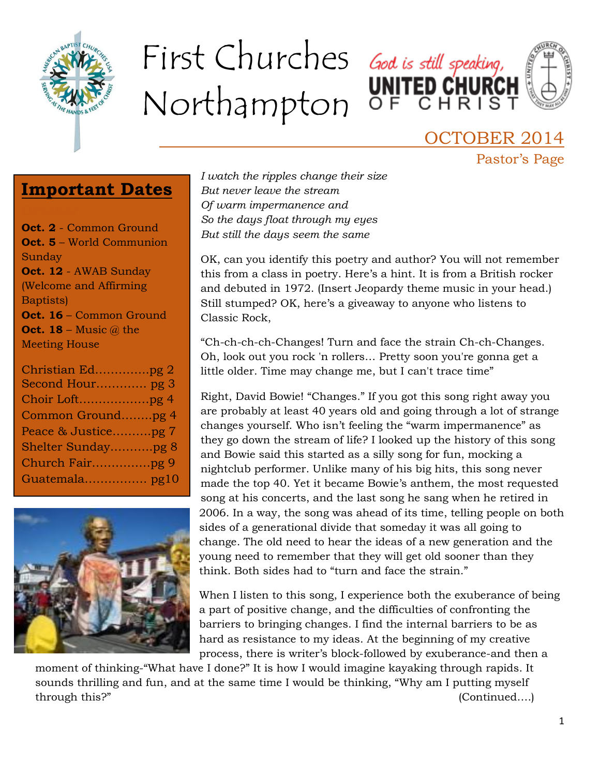

# First Churches Northampton



## OCTOBER 2014 Pastor's Page

## **Important Dates**

**Oct. 2** - Common Ground **Oct. 5** – World Communion **Sunday Oct. 12** - AWAB Sunday (Welcome and Affirming Baptists) **Oct. 16** – Common Ground **Oct. 18** – Music @ the Meeting House

| Christian Edpg 2    |
|---------------------|
| Second Hour pg 3    |
|                     |
| Common Groundpg 4   |
| Peace & Justicepg 7 |
| Shelter Sundaypg 8  |
| Church Fairpg 9     |
|                     |
|                     |



*I watch the ripples change their size But never leave the stream Of warm impermanence and So the days float through my eyes But still the days seem the same*

OK, can you identify this poetry and author? You will not remember this from a class in poetry. Here's a hint. It is from a British rocker and debuted in 1972. (Insert Jeopardy theme music in your head.) Still stumped? OK, here's a giveaway to anyone who listens to Classic Rock,

"Ch-ch-ch-ch-Changes! Turn and face the strain Ch-ch-Changes. Oh, look out you rock 'n rollers… Pretty soon you're gonna get a little older. Time may change me, but I can't trace time"

Right, David Bowie! "Changes." If you got this song right away you are probably at least 40 years old and going through a lot of strange changes yourself. Who isn't feeling the "warm impermanence" as they go down the stream of life? I looked up the history of this song and Bowie said this started as a silly song for fun, mocking a nightclub performer. Unlike many of his big hits, this song never made the top 40. Yet it became Bowie's anthem, the most requested song at his concerts, and the last song he sang when he retired in 2006. In a way, the song was ahead of its time, telling people on both sides of a generational divide that someday it was all going to change. The old need to hear the ideas of a new generation and the young need to remember that they will get old sooner than they think. Both sides had to "turn and face the strain."

When I listen to this song, I experience both the exuberance of being a part of positive change, and the difficulties of confronting the barriers to bringing changes. I find the internal barriers to be as hard as resistance to my ideas. At the beginning of my creative process, there is writer's block-followed by exuberance-and then a

moment of thinking-"What have I done?" It is how I would imagine kayaking through rapids. It sounds thrilling and fun, and at the same time I would be thinking, "Why am I putting myself through this?" (Continued….)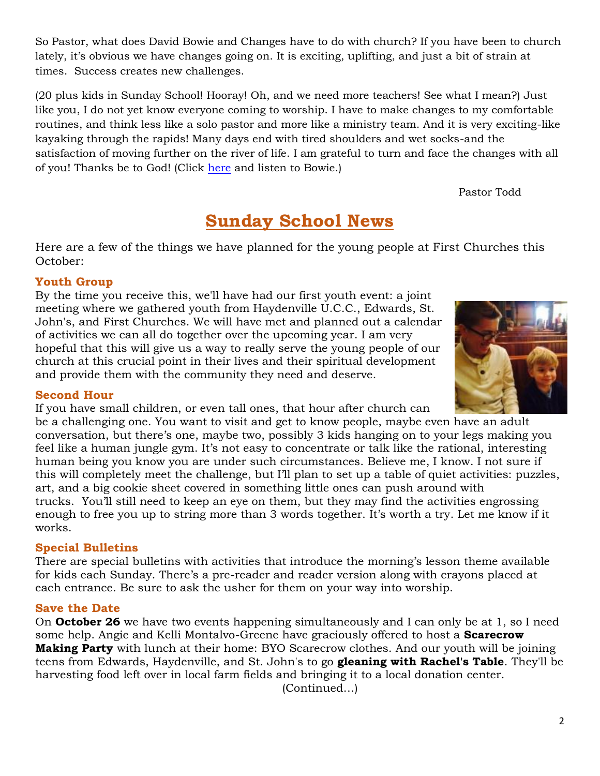So Pastor, what does David Bowie and Changes have to do with church? If you have been to church lately, it's obvious we have changes going on. It is exciting, uplifting, and just a bit of strain at times. Success creates new challenges.

(20 plus kids in Sunday School! Hooray! Oh, and we need more teachers! See what I mean?) Just like you, I do not yet know everyone coming to worship. I have to make changes to my comfortable routines, and think less like a solo pastor and more like a ministry team. And it is very exciting-like kayaking through the rapids! Many days end with tired shoulders and wet socks-and the satisfaction of moving further on the river of life. I am grateful to turn and face the changes with all of you! Thanks be to God! (Click [here](https://www.youtube.com/watch?v=pl3vxEudif8) and listen to Bowie.)

Pastor Todd

## **Sunday School News**

Here are a few of the things we have planned for the young people at First Churches this October:

#### **Youth Group**

By the time you receive this, we'll have had our first youth event: a joint meeting where we gathered youth from Haydenville U.C.C., Edwards, St. John's, and First Churches. We will have met and planned out a calendar of activities we can all do together over the upcoming year. I am very hopeful that this will give us a way to really serve the young people of our church at this crucial point in their lives and their spiritual development and provide them with the community they need and deserve.



#### **Second Hour**

If you have small children, or even tall ones, that hour after church can

be a challenging one. You want to visit and get to know people, maybe even have an adult conversation, but there's one, maybe two, possibly 3 kids hanging on to your legs making you feel like a human jungle gym. It's not easy to concentrate or talk like the rational, interesting human being you know you are under such circumstances. Believe me, I know. I not sure if this will completely meet the challenge, but I'll plan to set up a table of quiet activities: puzzles, art, and a big cookie sheet covered in something little ones can push around with trucks. You'll still need to keep an eye on them, but they may find the activities engrossing enough to free you up to string more than 3 words together. It's worth a try. Let me know if it works.

#### **Special Bulletins**

There are special bulletins with activities that introduce the morning's lesson theme available for kids each Sunday. There's a pre-reader and reader version along with crayons placed at each entrance. Be sure to ask the usher for them on your way into worship.

#### **Save the Date**

On **October 26** we have two events happening simultaneously and I can only be at 1, so I need some help. Angie and Kelli Montalvo-Greene have graciously offered to host a **Scarecrow Making Party** with lunch at their home: BYO Scarecrow clothes. And our youth will be joining teens from Edwards, Haydenville, and St. John's to go **gleaning with Rachel's Table**. They'll be harvesting food left over in local farm fields and bringing it to a local donation center.

(Continued…)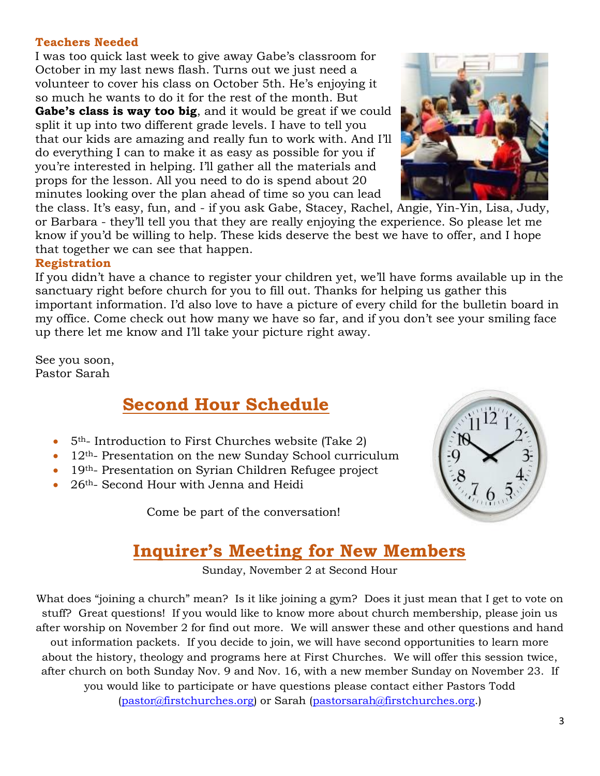#### **Teachers Needed**

I was too quick last week to give away Gabe's classroom for October in my last news flash. Turns out we just need a volunteer to cover his class on October 5th. He's enjoying it so much he wants to do it for the rest of the month. But **Gabe's class is way too big**, and it would be great if we could

split it up into two different grade levels. I have to tell you that our kids are amazing and really fun to work with. And I'll do everything I can to make it as easy as possible for you if you're interested in helping. I'll gather all the materials and props for the lesson. All you need to do is spend about 20 minutes looking over the plan ahead of time so you can lead



the class. It's easy, fun, and - if you ask Gabe, Stacey, Rachel, Angie, Yin-Yin, Lisa, Judy, or Barbara - they'll tell you that they are really enjoying the experience. So please let me know if you'd be willing to help. These kids deserve the best we have to offer, and I hope that together we can see that happen.

#### **Registration**

If you didn't have a chance to register your children yet, we'll have forms available up in the sanctuary right before church for you to fill out. Thanks for helping us gather this important information. I'd also love to have a picture of every child for the bulletin board in my office. Come check out how many we have so far, and if you don't see your smiling face up there let me know and I'll take your picture right away.

See you soon, Pastor Sarah

## **Second Hour Schedule**

- $\bullet$  5<sup>th</sup>- Introduction to First Churches website (Take 2)
- $\cdot$  12<sup>th</sup>- Presentation on the new Sunday School curriculum
- 19<sup>th</sup>- Presentation on Syrian Children Refugee project
- 26th- Second Hour with Jenna and Heidi

Come be part of the conversation!



## **Inquirer's Meeting for New Members**

Sunday, November 2 at Second Hour

What does "joining a church" mean? Is it like joining a gym? Does it just mean that I get to vote on stuff? Great questions! If you would like to know more about church membership, please join us after worship on November 2 for find out more. We will answer these and other questions and hand out information packets. If you decide to join, we will have second opportunities to learn more about the history, theology and programs here at First Churches. We will offer this session twice, after church on both Sunday Nov. 9 and Nov. 16, with a new member Sunday on November 23. If you would like to participate or have questions please contact either Pastors Todd [\(pastor@firstchurches.org\)](mailto:pastor@firstchurches.org) or Sarah [\(pastorsarah@firstchurches.org.](mailto:pastorsarah@firstchurches.org))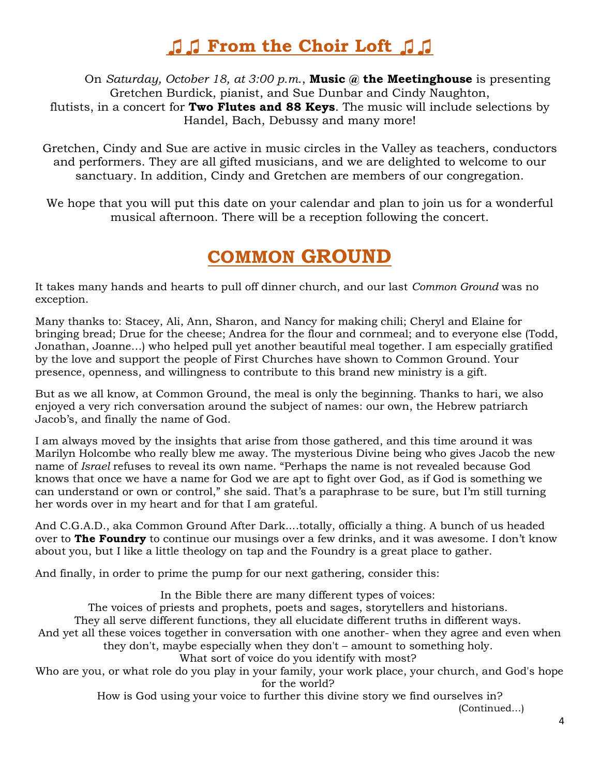## **♫♫ From the Choir Loft ♫♫**

On *Saturday, October 18, at 3:00 p.m*., **Music @ the Meetinghouse** is presenting Gretchen Burdick, pianist, and Sue Dunbar and Cindy Naughton, flutists, in a concert for **Two Flutes and 88 Keys**. The music will include selections by Handel, Bach, Debussy and many more!

Gretchen, Cindy and Sue are active in music circles in the Valley as teachers, conductors and performers. They are all gifted musicians, and we are delighted to welcome to our sanctuary. In addition, Cindy and Gretchen are members of our congregation.

We hope that you will put this date on your calendar and plan to join us for a wonderful musical afternoon. There will be a reception following the concert.

## **COMMON GROUND**

It takes many hands and hearts to pull off dinner church, and our last *Common Ground* was no exception.

Many thanks to: Stacey, Ali, Ann, Sharon, and Nancy for making chili; Cheryl and Elaine for bringing bread; Drue for the cheese; Andrea for the flour and cornmeal; and to everyone else (Todd, Jonathan, Joanne…) who helped pull yet another beautiful meal together. I am especially gratified by the love and support the people of First Churches have shown to Common Ground. Your presence, openness, and willingness to contribute to this brand new ministry is a gift.

But as we all know, at Common Ground, the meal is only the beginning. Thanks to hari, we also enjoyed a very rich conversation around the subject of names: our own, the Hebrew patriarch Jacob's, and finally the name of God.

I am always moved by the insights that arise from those gathered, and this time around it was Marilyn Holcombe who really blew me away. The mysterious Divine being who gives Jacob the new name of *Israel* refuses to reveal its own name. "Perhaps the name is not revealed because God knows that once we have a name for God we are apt to fight over God, as if God is something we can understand or own or control," she said. That's a paraphrase to be sure, but I'm still turning her words over in my heart and for that I am grateful.

And C.G.A.D., aka Common Ground After Dark....totally, officially a thing. A bunch of us headed over to **The Foundry** to continue our musings over a few drinks, and it was awesome. I don't know about you, but I like a little theology on tap and the Foundry is a great place to gather.

And finally, in order to prime the pump for our next gathering, consider this:

In the Bible there are many different types of voices:

The voices of priests and prophets, poets and sages, storytellers and historians.

They all serve different functions, they all elucidate different truths in different ways.

And yet all these voices together in conversation with one another- when they agree and even when they don't, maybe especially when they don't – amount to something holy.

What sort of voice do you identify with most?

Who are you, or what role do you play in your family, your work place, your church, and God's hope for the world?

How is God using your voice to further this divine story we find ourselves in?

(Continued…)

4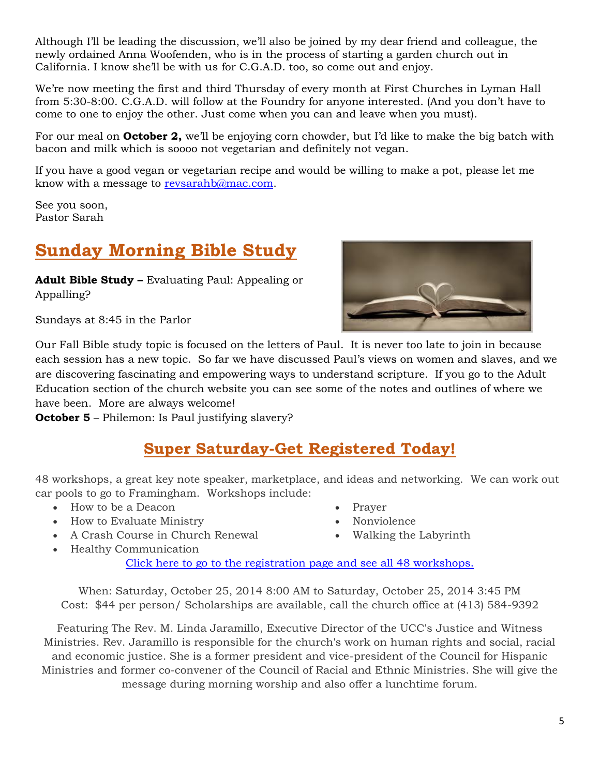Although I'll be leading the discussion, we'll also be joined by my dear friend and colleague, the newly ordained Anna Woofenden, who is in the process of starting a garden church out in California. I know she'll be with us for C.G.A.D. too, so come out and enjoy.

We're now meeting the first and third Thursday of every month at First Churches in Lyman Hall from 5:30-8:00. C.G.A.D. will follow at the Foundry for anyone interested. (And you don't have to come to one to enjoy the other. Just come when you can and leave when you must).

For our meal on **October 2,** we'll be enjoying corn chowder, but I'd like to make the big batch with bacon and milk which is soooo not vegetarian and definitely not vegan.

If you have a good vegan or vegetarian recipe and would be willing to make a pot, please let me know with a message to [revsarahb@mac.com.](mailto:revsarahb@mac.com)

See you soon, Pastor Sarah

## **Sunday Morning Bible Study**

**Adult Bible Study –** Evaluating Paul: Appealing or Appalling?

Sundays at 8:45 in the Parlor



Our Fall Bible study topic is focused on the letters of Paul. It is never too late to join in because each session has a new topic. So far we have discussed Paul's views on women and slaves, and we are discovering fascinating and empowering ways to understand scripture. If you go to the Adult Education section of the church website you can see some of the notes and outlines of where we have been. More are always welcome!

**October 5** – Philemon: Is Paul justifying slavery?

## **Super Saturday-Get Registered Today!**

48 workshops, a great key note speaker, marketplace, and ideas and networking. We can work out car pools to go to Framingham. Workshops include:

- How to be a Deacon
- How to Evaluate Ministry
- A Crash Course in Church Renewal
- Healthy Communication
- Prayer
- Nonviolence
- Walking the Labyrinth

[Click here to go to the registration page and see all 48 workshops.](http://www.macucc.org/eventdetail/112024?month=10&year=2014&day=1&display=m)

When: Saturday, October 25, 2014 8:00 AM to Saturday, October 25, 2014 3:45 PM Cost: \$44 per person/ Scholarships are available, call the church office at (413) 584-9392

Featuring The Rev. M. Linda Jaramillo, Executive Director of the UCC's Justice and Witness Ministries. Rev. Jaramillo is responsible for the church's work on human rights and social, racial and economic justice. She is a former president and vice-president of the Council for Hispanic Ministries and former co-convener of the Council of Racial and Ethnic Ministries. She will give the message during morning worship and also offer a lunchtime forum.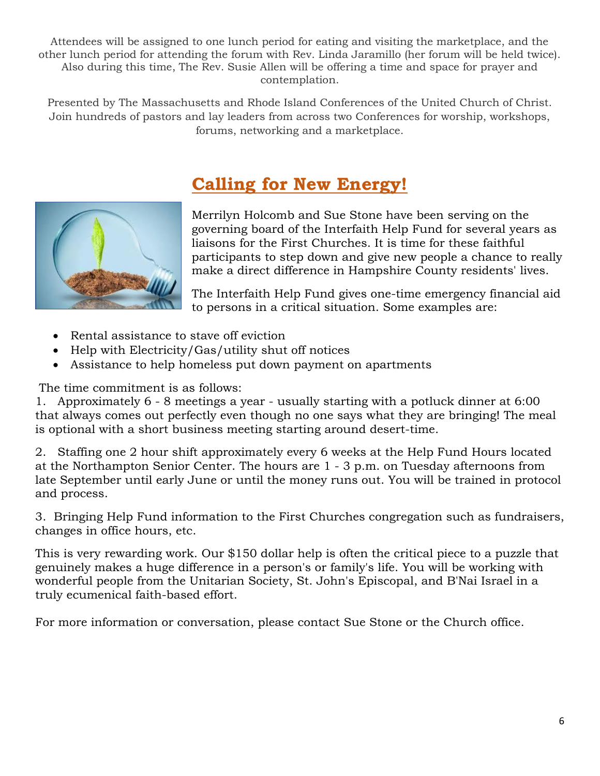Attendees will be assigned to one lunch period for eating and visiting the marketplace, and the other lunch period for attending the forum with Rev. Linda Jaramillo (her forum will be held twice). Also during this time, The Rev. Susie Allen will be offering a time and space for prayer and contemplation.

Presented by The Massachusetts and Rhode Island Conferences of the United Church of Christ. Join hundreds of pastors and lay leaders from across two Conferences for worship, workshops, forums, networking and a marketplace.



## **Calling for New Energy!**

Merrilyn Holcomb and Sue Stone have been serving on the governing board of the Interfaith Help Fund for several years as liaisons for the First Churches. It is time for these faithful participants to step down and give new people a chance to really make a direct difference in Hampshire County residents' lives.

The Interfaith Help Fund gives one-time emergency financial aid to persons in a critical situation. Some examples are:

- Rental assistance to stave off eviction
- Help with Electricity/Gas/utility shut off notices
- Assistance to help homeless put down payment on apartments

The time commitment is as follows:

1. Approximately 6 - 8 meetings a year - usually starting with a potluck dinner at 6:00 that always comes out perfectly even though no one says what they are bringing! The meal is optional with a short business meeting starting around desert-time.

2. Staffing one 2 hour shift approximately every 6 weeks at the Help Fund Hours located at the Northampton Senior Center. The hours are 1 - 3 p.m. on Tuesday afternoons from late September until early June or until the money runs out. You will be trained in protocol and process.

3. Bringing Help Fund information to the First Churches congregation such as fundraisers, changes in office hours, etc.

This is very rewarding work. Our \$150 dollar help is often the critical piece to a puzzle that genuinely makes a huge difference in a person's or family's life. You will be working with wonderful people from the Unitarian Society, St. John's Episcopal, and B'Nai Israel in a truly ecumenical faith-based effort.

For more information or conversation, please contact Sue Stone or the Church office.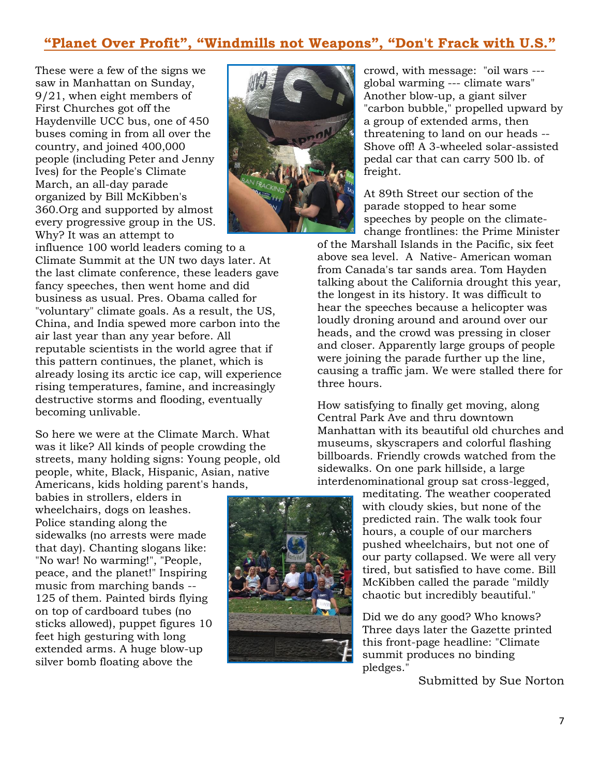#### **"Planet Over Profit" , "Windmills not Weapons" , "Don't Frack with U.S."**

These were a few of the signs we saw in Manhattan on Sunday, 9/21, when eight members of First Churches got off the Haydenville UCC bus, one of 450 buses coming in from all over the country, and joined 400,000 people (including Peter and Jenny Ives) for the People's Climate March, an all-day parade organized by Bill McKibben's 360.Org and supported by almost every progressive group in the US. Why? It was an attempt to



influence 100 world leaders coming to a Climate Summit at the UN two days later. At the last climate conference, these leaders gave fancy speeches, then went home and did business as usual. Pres. Obama called for "voluntary" climate goals. As a result, the US, China, and India spewed more carbon into the air last year than any year before. All reputable scientists in the world agree that if this pattern continues, the planet, which is already losing its arctic ice cap, will experience rising temperatures, famine, and increasingly destructive storms and flooding, eventually becoming unlivable.

So here we were at the Climate March. What was it like? All kinds of people crowding the streets, many holding signs: Young people, old people, white, Black, Hispanic, Asian, native Americans, kids holding parent's hands,

babies in strollers, elders in wheelchairs, dogs on leashes. Police standing along the sidewalks (no arrests were made that day). Chanting slogans like: "No war! No warming!", "People, peace, and the planet!" Inspiring music from marching bands -- 125 of them. Painted birds flying on top of cardboard tubes (no sticks allowed), puppet figures 10 feet high gesturing with long extended arms. A huge blow-up silver bomb floating above the

meditating. The weather cooperated with cloudy skies, but none of the predicted rain. The walk took four hours, a couple of our marchers pushed wheelchairs, but not one of our party collapsed. We were all very tired, but satisfied to have come. Bill McKibben called the parade "mildly

Did we do any good? Who knows? Three days later the Gazette printed this front-page headline: "Climate summit produces no binding pledges."

chaotic but incredibly beautiful."

Submitted by Sue Norton

crowd, with message: "oil wars -- global warming --- climate wars" Another blow-up, a giant silver "carbon bubble," propelled upward by a group of extended arms, then threatening to land on our heads -- Shove off! A 3-wheeled solar-assisted pedal car that can carry 500 lb. of freight.

At 89th Street our section of the parade stopped to hear some speeches by people on the climatechange frontlines: the Prime Minister

of the Marshall Islands in the Pacific, six feet above sea level. A Native- American woman from Canada's tar sands area. Tom Hayden talking about the California drought this year, the longest in its history. It was difficult to hear the speeches because a helicopter was loudly droning around and around over our heads, and the crowd was pressing in closer and closer. Apparently large groups of people were joining the parade further up the line, causing a traffic jam. We were stalled there for three hours.

How satisfying to finally get moving, along Central Park Ave and thru downtown Manhattan with its beautiful old churches and museums, skyscrapers and colorful flashing billboards. Friendly crowds watched from the sidewalks. On one park hillside, a large interdenominational group sat cross-legged,

7

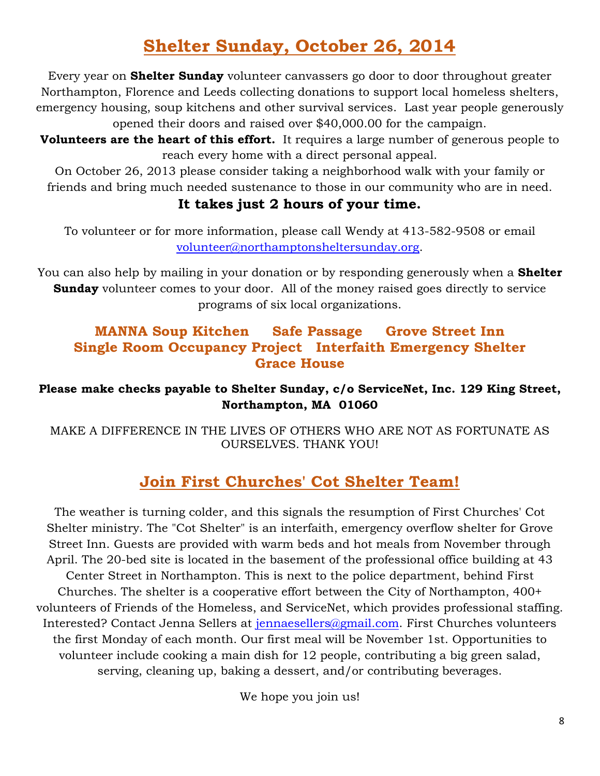## **Shelter Sunday, October 26, 2014**

Every year on **Shelter Sunday** volunteer canvassers go door to door throughout greater Northampton, Florence and Leeds collecting donations to support local homeless shelters, emergency housing, soup kitchens and other survival services. Last year people generously opened their doors and raised over \$40,000.00 for the campaign.

**Volunteers are the heart of this effort.** It requires a large number of generous people to reach every home with a direct personal appeal.

On October 26, 2013 please consider taking a neighborhood walk with your family or friends and bring much needed sustenance to those in our community who are in need.

## **It takes just 2 hours of your time.**

To volunteer or for more information, please call Wendy at 413-582-9508 or email [volunteer@northamptonsheltersunday.org.](mailto:volunteer@northamptonsheltersunday.org)

You can also help by mailing in your donation or by responding generously when a **Shelter Sunday** volunteer comes to your door. All of the money raised goes directly to service programs of six local organizations.

### **MANNA Soup Kitchen Safe Passage Grove Street Inn Single Room Occupancy Project Interfaith Emergency Shelter Grace House**

#### **Please make checks payable to Shelter Sunday, c/o ServiceNet, Inc. 129 King Street, Northampton, MA 01060**

MAKE A DIFFERENCE IN THE LIVES OF OTHERS WHO ARE NOT AS FORTUNATE AS OURSELVES. THANK YOU!

## **Join First Churches' Cot Shelter Team!**

The weather is turning colder, and this signals the resumption of First Churches' Cot Shelter ministry. The "Cot Shelter" is an interfaith, emergency overflow shelter for Grove Street Inn. Guests are provided with warm beds and hot meals from November through April. The 20-bed site is located in the basement of the professional office building at 43 Center Street in Northampton. This is next to the police department, behind First Churches. The shelter is a cooperative effort between the City of Northampton, 400+ volunteers of Friends of the Homeless, and ServiceNet, which provides professional staffing. Interested? Contact Jenna Sellers at [jennaesellers@gmail.com.](mailto:jennaesellers@gmail.com) First Churches volunteers the first Monday of each month. Our first meal will be November 1st. Opportunities to volunteer include cooking a main dish for 12 people, contributing a big green salad, serving, cleaning up, baking a dessert, and/or contributing beverages.

We hope you join us!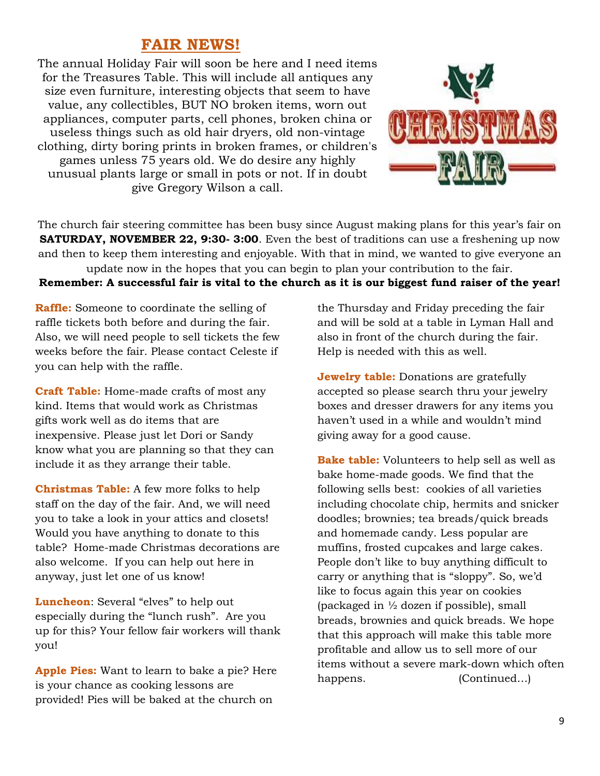#### **FAIR NEWS!**

The annual Holiday Fair will soon be here and I need items for the Treasures Table. This will include all antiques any size even furniture, interesting objects that seem to have value, any collectibles, BUT NO broken items, worn out appliances, computer parts, cell phones, broken china or useless things such as old hair dryers, old non-vintage clothing, dirty boring prints in broken frames, or children's games unless 75 years old. We do desire any highly unusual plants large or small in pots or not. If in doubt give Gregory Wilson a call.



The church fair steering committee has been busy since August making plans for this year's fair on **SATURDAY, NOVEMBER 22, 9:30- 3:00**. Even the best of traditions can use a freshening up now and then to keep them interesting and enjoyable. With that in mind, we wanted to give everyone an update now in the hopes that you can begin to plan your contribution to the fair.

#### **Remember: A successful fair is vital to the church as it is our biggest fund raiser of the year!**

**Raffle:** Someone to coordinate the selling of raffle tickets both before and during the fair. Also, we will need people to sell tickets the few weeks before the fair. Please contact Celeste if you can help with the raffle.

**Craft Table:** Home-made crafts of most any kind. Items that would work as Christmas gifts work well as do items that are inexpensive. Please just let Dori or Sandy know what you are planning so that they can include it as they arrange their table.

**Christmas Table:** A few more folks to help staff on the day of the fair. And, we will need you to take a look in your attics and closets! Would you have anything to donate to this table? Home-made Christmas decorations are also welcome. If you can help out here in anyway, just let one of us know!

**Luncheon**: Several "elves" to help out especially during the "lunch rush". Are you up for this? Your fellow fair workers will thank you!

**Apple Pies:** Want to learn to bake a pie? Here is your chance as cooking lessons are provided! Pies will be baked at the church on

the Thursday and Friday preceding the fair and will be sold at a table in Lyman Hall and also in front of the church during the fair. Help is needed with this as well.

**Jewelry table:** Donations are gratefully accepted so please search thru your jewelry boxes and dresser drawers for any items you haven't used in a while and wouldn't mind giving away for a good cause.

**Bake table:** Volunteers to help sell as well as bake home-made goods. We find that the following sells best: cookies of all varieties including chocolate chip, hermits and snicker doodles; brownies; tea breads/quick breads and homemade candy. Less popular are muffins, frosted cupcakes and large cakes. People don't like to buy anything difficult to carry or anything that is "sloppy". So, we'd like to focus again this year on cookies (packaged in ½ dozen if possible), small breads, brownies and quick breads. We hope that this approach will make this table more profitable and allow us to sell more of our items without a severe mark-down which often happens. (Continued...)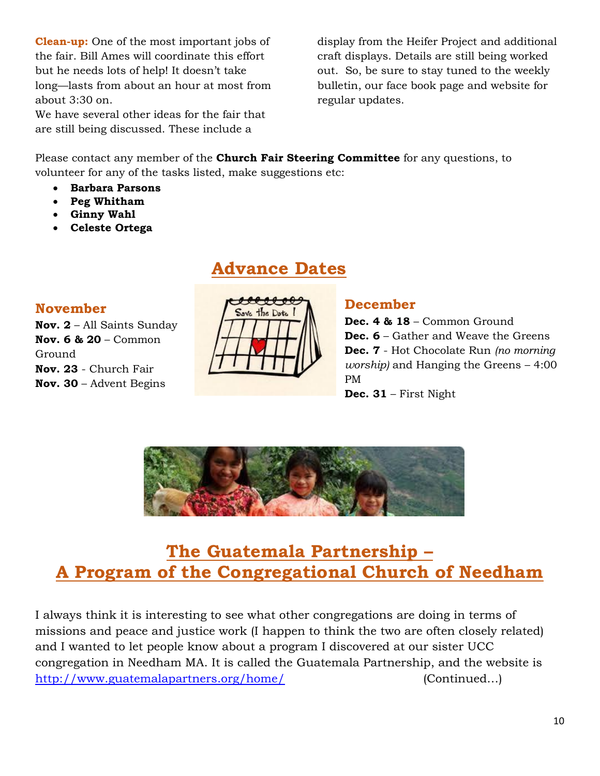**Clean-up:** One of the most important jobs of the fair. Bill Ames will coordinate this effort but he needs lots of help! It doesn't take long—lasts from about an hour at most from about 3:30 on.

We have several other ideas for the fair that are still being discussed. These include a

display from the Heifer Project and additional craft displays. Details are still being worked out. So, be sure to stay tuned to the weekly bulletin, our face book page and website for regular updates.

Please contact any member of the **Church Fair Steering Committee** for any questions, to volunteer for any of the tasks listed, make suggestions etc:

- **Barbara Parsons**
- **Peg Whitham**
- **Ginny Wahl**
- **Celeste Ortega**



#### **November**

**Nov. 2** – All Saints Sunday **Nov. 6 & 20** – Common Ground **Nov. 23** - Church Fair **Nov. 30** – Advent Begins



#### **December**

**Dec. 4 & 18** – Common Ground **Dec. 6** – Gather and Weave the Greens **Dec. 7** - Hot Chocolate Run *(no morning worship)* and Hanging the Greens – 4:00 PM

**Dec. 31** – First Night



## **The Guatemala Partnership – A Program of the Congregational Church of Needham**

I always think it is interesting to see what other congregations are doing in terms of missions and peace and justice work (I happen to think the two are often closely related) and I wanted to let people know about a program I discovered at our sister UCC congregation in Needham MA. It is called the Guatemala Partnership, and the website is <http://www.guatemalapartners.org/home/> (Continued...)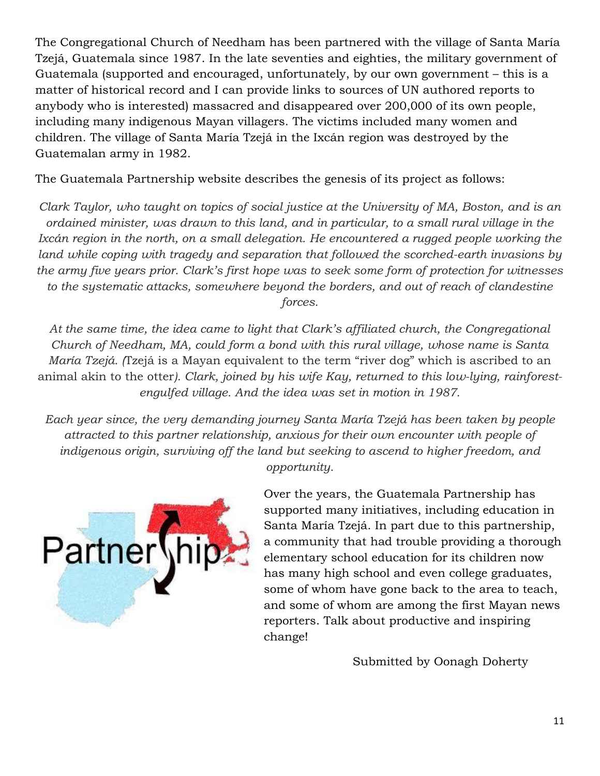The Congregational Church of Needham has been partnered with the village of Santa María Tzejá, Guatemala since 1987. In the late seventies and eighties, the military government of Guatemala (supported and encouraged, unfortunately, by our own government – this is a matter of historical record and I can provide links to sources of UN authored reports to anybody who is interested) massacred and disappeared over 200,000 of its own people, including many indigenous Mayan villagers. The victims included many women and children. The village of Santa María Tzejá in the Ixcán region was destroyed by the Guatemalan army in 1982.

The Guatemala Partnership website describes the genesis of its project as follows:

*Clark Taylor, who taught on topics of social justice at the University of MA, Boston, and is an ordained minister, was drawn to this land, and in particular, to a small rural village in the Ixcán region in the north, on a small delegation. He encountered a rugged people working the land while coping with tragedy and separation that followed the scorched-earth invasions by the army five years prior. Clark's first hope was to seek some form of protection for witnesses to the systematic attacks, somewhere beyond the borders, and out of reach of clandestine forces.*

*At the same time, the idea came to light that Clark's affiliated church, the Congregational Church of Needham, MA, could form a bond with this rural village, whose name is Santa María Tzejá. (*Tzejá is a Mayan equivalent to the term "river dog" which is ascribed to an animal akin to the otter*). Clark, joined by his wife Kay, returned to this low-lying, rainforestengulfed village. And the idea was set in motion in 1987.*

*Each year since, the very demanding journey Santa María Tzejá has been taken by people attracted to this partner relationship, anxious for their own encounter with people of indigenous origin, surviving off the land but seeking to ascend to higher freedom, and* 



*opportunity.*

Over the years, the Guatemala Partnership has supported many initiatives, including education in Santa María Tzejá. In part due to this partnership, a community that had trouble providing a thorough elementary school education for its children now has many high school and even college graduates, some of whom have gone back to the area to teach, and some of whom are among the first Mayan news reporters. Talk about productive and inspiring change!

Submitted by Oonagh Doherty